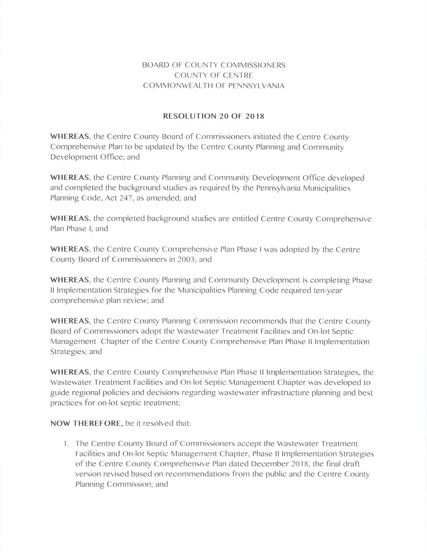## BOARD OF COUNTY COMMISSIONERS COUNTY OF CENTRE COMMONWEALTH OF PENNSYLVANIA

## RESOLUTION 20 OF 2018

WHEREAS, the Centre County Board of Commissioners initiated the Centre County Comprehensive Plan to be updated by the Centre County Planning and Community Development Office; and

WHEREAS, the Centre County Planning and Community Development Office developed and completed the background studies as required by the Pennsylvania Municipalities Planning Code, Act 247, as amended; and

WHEREAS, the completed background studies are entitled Centre County Comprehensive Plan Phase I; and

WHEREAS, the Centre County Comprehensive Plan Phase I was adopted by the Centre County Board of Commissioners in 2003; and

WHEREAS, the Centre County Planning and Community Development is completing Phase II Implementation Strategies for the Municipalities Planning Code required ten-year comprehensive plan review; and

WHEREAS, the Centre County Planning Commission recommends that the Centre County Board of Commissioners adopt the Wastewater Treatment Facilities and On-lot Septic Management Chapter of the Centre County Comprehensive Plan Phase II Implementation Strategies; and

WHEREAS, the Centre County Comprehensive Plan Phase II Implementation Strategies, the Wastewater Treatment Facilities and On-lot Septic Management Chapter was developed to guide regional policies and decisions regarding wastewater infrastructure planning and best practices for on-lot septic treatment;

## NOW THEREFORE, be it resolved that:

1. The Centre County Board of Commissioners accept the Wastewater Treatment Facilities and On-lot Septic Management Chapter, Phase II Implementation Strategies of the Centre County Comprehensive Plan dated December 2018, the final draft version revised based on recommendations from the public and the Centre County Planning Commission; and